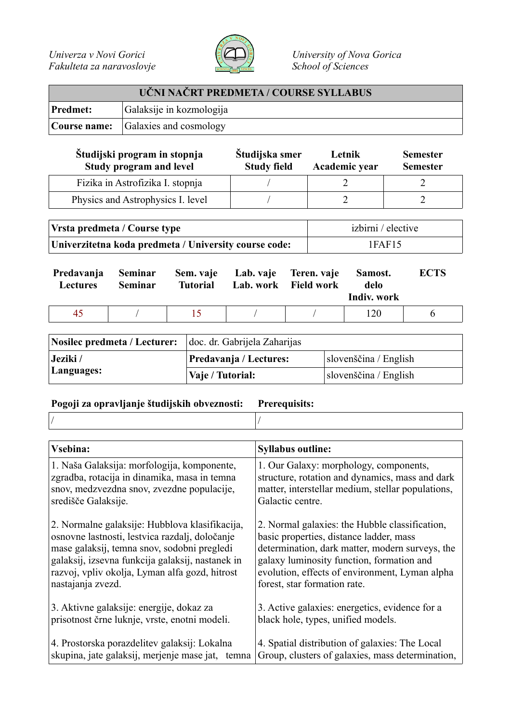

| UČNI NAČRT PREDMETA / COURSE SYLLABUS |                                            |  |
|---------------------------------------|--------------------------------------------|--|
| <b>Predmet:</b>                       | Galaksije in kozmologija                   |  |
|                                       | <b>Course name:</b> Galaxies and cosmology |  |

| Študijski program in stopnja<br><b>Study program and level</b> | Študijska smer<br><b>Study field</b> | Letnik<br>Academic year | <b>Semester</b><br><b>Semester</b> |
|----------------------------------------------------------------|--------------------------------------|-------------------------|------------------------------------|
| Fizika in Astrofizika I. stopnja                               |                                      |                         |                                    |
| Physics and Astrophysics I. level                              |                                      |                         |                                    |

| Vrsta predmeta / Course type                          | izbirni / elective |
|-------------------------------------------------------|--------------------|
| Univerzitetna koda predmeta / University course code: | 1FAF15             |

| Predavanja<br><b>Lectures</b> | Seminar<br><b>Seminar</b> | <b>Tutorial</b> | Sem. vaje Lab. vaje Teren. vaje | Lab. work Field work | Samost.<br>delo<br>Indiv. work | <b>ECTS</b> |
|-------------------------------|---------------------------|-----------------|---------------------------------|----------------------|--------------------------------|-------------|
| 45                            |                           |                 |                                 |                      | 120                            |             |
|                               |                           |                 |                                 |                      |                                |             |

| Nosilec predmeta / Lecturer: | doc. dr. Gabrijela Zaharijas |                       |  |
|------------------------------|------------------------------|-----------------------|--|
| Jeziki /                     | Predavanja / Lectures:       | slovenščina / English |  |
| Languages:                   | Vaje / Tutorial:             | slovenščina / English |  |

## **Pogoji za opravljanje študijskih obveznosti: Prerequisits:**

**Vsebina: Syllabus outline:** 1. Naša Galaksija: morfologija, komponente, zgradba, rotacija in dinamika, masa in temna snov, medzvezdna snov, zvezdne populacije, središče Galaksije. 2. Normalne galaksije: Hubblova klasifikacija, osnovne lastnosti, lestvica razdalj, določanje mase galaksij, temna snov, sodobni pregledi galaksij, izsevna funkcija galaksij, nastanek in razvoj, vpliv okolja, Lyman alfa gozd, hitrost nastajanja zvezd. 3. Aktivne galaksije: energije, dokaz za prisotnost črne luknje, vrste, enotni modeli. 4. Prostorska porazdelitev galaksij: Lokalna skupina, jate galaksij, merjenje mase jat, temna 1. Our Galaxy: morphology, components, structure, rotation and dynamics, mass and dark matter, interstellar medium, stellar populations, Galactic centre. 2. Normal galaxies: the Hubble classification, basic properties, distance ladder, mass determination, dark matter, modern surveys, the galaxy luminosity function, formation and evolution, effects of environment, Lyman alpha forest, star formation rate. 3. Active galaxies: energetics, evidence for a black hole, types, unified models. 4. Spatial distribution of galaxies: The Local Group, clusters of galaxies, mass determination,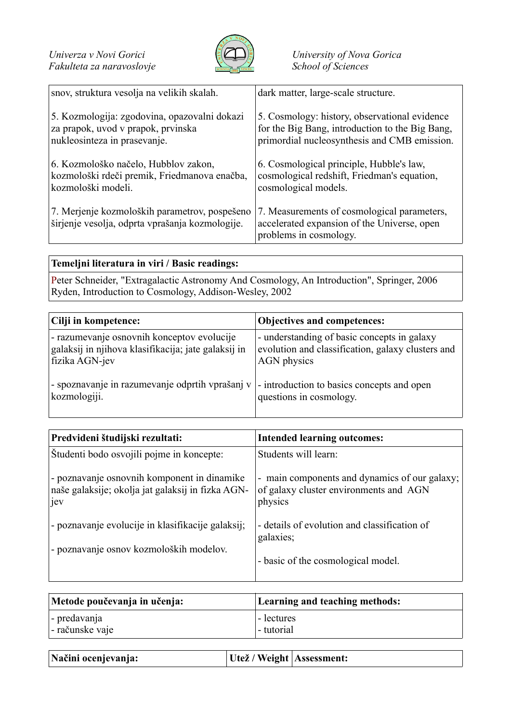

*Univerza v Novi Gorici Univerza v Novi Gorici University of Nova Gorica E University of Nova Gorica School of Sciences* 

| snov, struktura vesolja na velikih skalah.                                                       | dark matter, large-scale structure.                                                                                  |
|--------------------------------------------------------------------------------------------------|----------------------------------------------------------------------------------------------------------------------|
| 5. Kozmologija: zgodovina, opazovalni dokazi                                                     | 5. Cosmology: history, observational evidence                                                                        |
| za prapok, uvod v prapok, prvinska                                                               | for the Big Bang, introduction to the Big Bang,                                                                      |
| nukleosinteza in prasevanje.                                                                     | primordial nucleosynthesis and CMB emission.                                                                         |
| 6. Kozmološko načelo, Hubblov zakon,                                                             | 6. Cosmological principle, Hubble's law,                                                                             |
| kozmološki rdeči premik, Friedmanova enačba,                                                     | cosmological redshift, Friedman's equation,                                                                          |
| kozmološki modeli.                                                                               | cosmological models.                                                                                                 |
| 7. Merjenje kozmoloških parametrov, pospešeno<br>širjenje vesolja, odprta vprašanja kozmologije. | 7. Measurements of cosmological parameters,<br>accelerated expansion of the Universe, open<br>problems in cosmology. |

## **Temeljni literatura in viri / Basic readings:**

Peter Schneider, "Extragalactic Astronomy And Cosmology, An Introduction", Springer, 2006 Ryden, Introduction to Cosmology, Addison-Wesley, 2002

| Cilji in kompetence:                                | <b>Objectives and competences:</b>                |
|-----------------------------------------------------|---------------------------------------------------|
| - razumevanje osnovnih konceptov evolucije          | - understanding of basic concepts in galaxy       |
| galaksij in njihova klasifikacija; jate galaksij in | evolution and classification, galaxy clusters and |
| fizika AGN-jev                                      | AGN physics                                       |
| - spoznavanje in razumevanje odprtih vprašanj v     | - introduction to basics concepts and open        |
| kozmologiji.                                        | questions in cosmology.                           |

| Predvideni študijski rezultati:                                                                         | <b>Intended learning outcomes:</b>                                                                 |
|---------------------------------------------------------------------------------------------------------|----------------------------------------------------------------------------------------------------|
| Študenti bodo osvojili pojme in koncepte:                                                               | Students will learn:                                                                               |
| - poznavanje osnovnih komponent in dinamike<br>naše galaksije; okolja jat galaksij in fizka AGN-<br>jev | - main components and dynamics of our galaxy;<br>of galaxy cluster environments and AGN<br>physics |
| - poznavanje evolucije in klasifikacije galaksij;<br>- poznavanje osnov kozmoloških modelov.            | - details of evolution and classification of<br>galaxies;<br>- basic of the cosmological model.    |

| Metode poučevanja in učenja: | Learning and teaching methods: |  |
|------------------------------|--------------------------------|--|
| - predavanja                 | - lectures                     |  |
| - računske vaje              | - tutorial                     |  |

| Načini ocenjevanja:<br>Utež / Weight Assessment: |
|--------------------------------------------------|
|--------------------------------------------------|